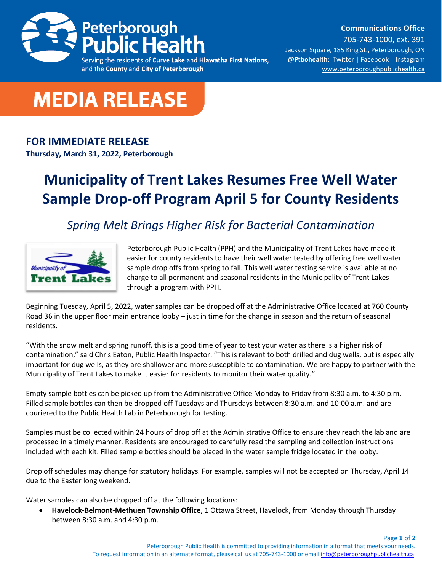

**Communications Office**

Serving the residents of Curve Lake and Hiawatha First Nations, and the County and City of Peterborough

705-743-1000, ext. 391 Jackson Square, 185 King St., Peterborough, ON **@Ptbohealth:** [Twitter](http://www.twitter.com/PCCHU) | [Facebook](http://www.facebook.ca/PCCHU1) | Instagram [www.peterboroughpublichealth.ca](http://www.peterboroughpublichealth.ca/)



## **FOR IMMEDIATE RELEASE**

**Thursday, March 31, 2022, Peterborough**

## **Municipality of Trent Lakes Resumes Free Well Water Sample Drop-off Program April 5 for County Residents**

*Spring Melt Brings Higher Risk for Bacterial Contamination*



Peterborough Public Health (PPH) and the Municipality of Trent Lakes have made it easier for county residents to have their well water tested by offering free well water sample drop offs from spring to fall. This well water testing service is available at no charge to all permanent and seasonal residents in the Municipality of Trent Lakes through a program with PPH.

Beginning Tuesday, April 5, 2022, water samples can be dropped off at the Administrative Office located at 760 County Road 36 in the upper floor main entrance lobby – just in time for the change in season and the return of seasonal residents.

"With the snow melt and spring runoff, this is a good time of year to test your water as there is a higher risk of contamination," said Chris Eaton, Public Health Inspector. "This is relevant to both drilled and dug wells, but is especially important for dug wells, as they are shallower and more susceptible to contamination. We are happy to partner with the Municipality of Trent Lakes to make it easier for residents to monitor their water quality."

Empty sample bottles can be picked up from the Administrative Office Monday to Friday from 8:30 a.m. to 4:30 p.m. Filled sample bottles can then be dropped off Tuesdays and Thursdays between 8:30 a.m. and 10:00 a.m. and are couriered to the Public Health Lab in Peterborough for testing.

Samples must be collected within 24 hours of drop off at the Administrative Office to ensure they reach the lab and are processed in a timely manner. Residents are encouraged to carefully read the sampling and collection instructions included with each kit. Filled sample bottles should be placed in the water sample fridge located in the lobby.

Drop off schedules may change for statutory holidays. For example, samples will not be accepted on Thursday, April 14 due to the Easter long weekend.

Water samples can also be dropped off at the following locations:

• **Havelock-Belmont-Methuen Township Office**, 1 Ottawa Street, Havelock, from Monday through Thursday between 8:30 a.m. and 4:30 p.m.